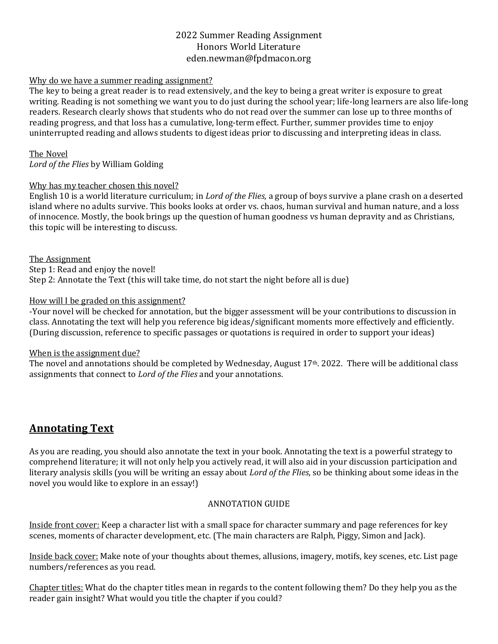## 2022 Summer Reading Assignment Honors World Literature eden.newman@fpdmacon.org

### Why do we have a summer reading assignment?

The key to being a great reader is to read extensively, and the key to being a great writer is exposure to great writing. Reading is not something we want you to do just during the school year; life-long learners are also life-long readers. Research clearly shows that students who do not read over the summer can lose up to three months of reading progress, and that loss has a cumulative, long-term effect. Further, summer provides time to enjoy uninterrupted reading and allows students to digest ideas prior to discussing and interpreting ideas in class.

The Novel *Lord of the Flies* by William Golding

### Why has my teacher chosen this novel?

English 10 is a world literature curriculum; in *Lord of the Flies,* a group of boys survive a plane crash on a deserted island where no adults survive. This books looks at order vs. chaos, human survival and human nature, and a loss of innocence. Mostly, the book brings up the question of human goodness vs human depravity and as Christians, this topic will be interesting to discuss.

The Assignment Step 1: Read and enjoy the novel! Step 2: Annotate the Text (this will take time, do not start the night before all is due)

### How will I be graded on this assignment?

-Your novel will be checked for annotation, but the bigger assessment will be your contributions to discussion in class. Annotating the text will help you reference big ideas/significant moments more effectively and efficiently. (During discussion, reference to specific passages or quotations is required in order to support your ideas)

#### When is the assignment due?

The novel and annotations should be completed by Wednesday, August 17th. 2022. There will be additional class assignments that connect to *Lord of the Flies* and your annotations.

# **Annotating Text**

As you are reading, you should also annotate the text in your book. Annotating the text is a powerful strategy to comprehend literature; it will not only help you actively read, it will also aid in your discussion participation and literary analysis skills (you will be writing an essay about *Lord of the Flies*, so be thinking about some ideas in the novel you would like to explore in an essay!)

### ANNOTATION GUIDE

Inside front cover: Keep a character list with a small space for character summary and page references for key scenes, moments of character development, etc. (The main characters are Ralph, Piggy, Simon and Jack).

Inside back cover: Make note of your thoughts about themes, allusions, imagery, motifs, key scenes, etc. List page numbers/references as you read.

Chapter titles: What do the chapter titles mean in regards to the content following them? Do they help you as the reader gain insight? What would you title the chapter if you could?